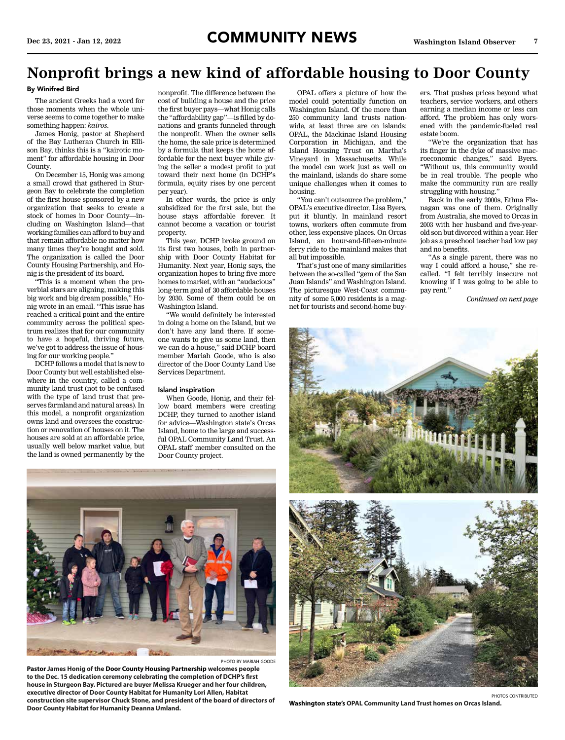# **Nonprofit brings a new kind of affordable housing to Door County**

## By Winifred Bird

The ancient Greeks had a word for those moments when the whole universe seems to come together to make something happen: *kairos*.

James Honig, pastor at Shepherd of the Bay Lutheran Church in Ellison Bay, thinks this is a "kairotic moment" for affordable housing in Door County.

On December 15, Honig was among a small crowd that gathered in Sturgeon Bay to celebrate the completion of the first house sponsored by a new organization that seeks to create a stock of homes in Door County—including on Washington Island—that working families can afford to buy and that remain affordable no matter how many times they're bought and sold. The organization is called the Door County Housing Partnership, and Honig is the president of its board.

"This is a moment when the proverbial stars are aligning, making this big work and big dream possible," Honig wrote in an email. "This issue has reached a critical point and the entire community across the political spectrum realizes that for our community to have a hopeful, thriving future, we've got to address the issue of housing for our working people."

DCHP follows a model that is new to Door County but well established elsewhere in the country, called a community land trust (not to be confused with the type of land trust that preserves farmland and natural areas). In this model, a nonprofit organization owns land and oversees the construction or renovation of houses on it. The houses are sold at an affordable price, usually well below market value, but the land is owned permanently by the

nonprofit. The difference between the cost of building a house and the price the first buyer pays—what Honig calls the "affordability gap"—is filled by donations and grants funneled through the nonprofit. When the owner sells the home, the sale price is determined by a formula that keeps the home affordable for the next buyer while giving the seller a modest profit to put toward their next home (in DCHP's formula, equity rises by one percent per year).

In other words, the price is only subsidized for the first sale, but the house stays affordable forever. It cannot become a vacation or tourist property.

This year, DCHP broke ground on its first two houses, both in partnership with Door County Habitat for Humanity. Next year, Honig says, the organization hopes to bring five more homes to market, with an "audacious" long-term goal of 30 affordable houses by 2030. Some of them could be on Washington Island.

"We would definitely be interested in doing a home on the Island, but we don't have any land there. If someone wants to give us some land, then we can do a house," said DCHP board member Mariah Goode, who is also director of the Door County Land Use Services Department.

### Island inspiration

When Goode, Honig, and their fellow board members were creating DCHP, they turned to another island for advice—Washington state's Orcas Island, home to the large and successful OPAL Community Land Trust. An OPAL staff member consulted on the Door County project.

OPAL offers a picture of how the model could potentially function on Washington Island. Of the more than 250 community land trusts nationwide, at least three are on islands: OPAL, the Mackinac Island Housing Corporation in Michigan, and the Island Housing Trust on Martha's Vineyard in Massachusetts. While the model can work just as well on the mainland, islands do share some unique challenges when it comes to housing.

"You can't outsource the problem," OPAL's executive director, Lisa Byers, put it bluntly. In mainland resort towns, workers often commute from other, less expensive places. On Orcas Island, an hour-and-fifteen-minute ferry ride to the mainland makes that all but impossible.

That's just one of many similarities between the so-called "gem of the San Juan Islands" and Washington Island. The picturesque West-Coast community of some 5,000 residents is a magnet for tourists and second-home buyers. That pushes prices beyond what teachers, service workers, and others earning a median income or less can afford. The problem has only worsened with the pandemic-fueled real estate boom.

"We're the organization that has its finger in the dyke of massive macroeconomic changes," said Byers. "Without us, this community would be in real trouble. The people who make the community run are really struggling with housing."

Back in the early 2000s, Ethna Flanagan was one of them. Originally from Australia, she moved to Orcas in 2003 with her husband and five-yearold son but divorced within a year. Her job as a preschool teacher had low pay and no benefits.

"As a single parent, there was no way I could afford a house," she recalled. "I felt terribly insecure not knowing if I was going to be able to pay rent.'

*Continued on next page*



**Part Avenue** 

photo by mariah goode **Pastor James Honig of the Door County Housing Partnership welcomes people to the Dec. 15 dedication ceremony celebrating the completion of DCHP's first house in Sturgeon Bay. Pictured are buyer Melissa Krueger and her four children, executive director of Door County Habitat for Humanity Lori Allen, Habitat construction site supervisor Chuck Stone, and president of the board of directors of Door County Habitat for Humanity Deanna Umland.**

**Washington state's OPAL Community Land Trust homes on Orcas Island.**